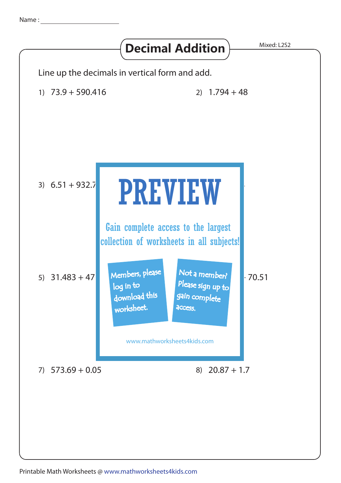